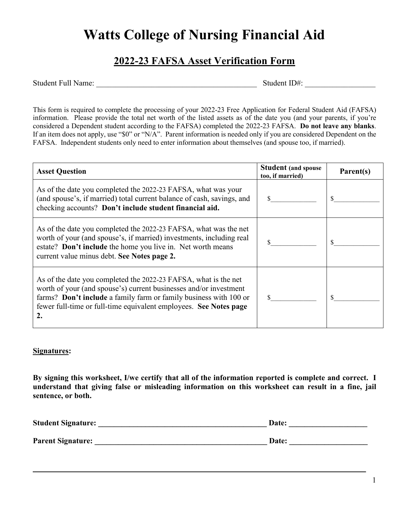## **Watts College of Nursing Financial Aid**

## **2022-23 FAFSA Asset Verification Form**

Student Full Name: \_\_\_\_\_\_\_\_\_\_\_\_\_\_\_\_\_\_\_\_\_\_\_\_\_\_\_\_\_\_\_\_\_\_\_\_\_\_\_\_\_ Student ID#: \_\_\_\_\_\_\_\_\_\_\_\_\_\_\_\_\_\_

This form is required to complete the processing of your 2022-23 Free Application for Federal Student Aid (FAFSA) information. Please provide the total net worth of the listed assets as of the date you (and your parents, if you're considered a Dependent student according to the FAFSA) completed the 2022-23 FAFSA. **Do not leave any blanks**. If an item does not apply, use "\$0" or "N/A". Parent information is needed only if you are considered Dependent on the FAFSA. Independent students only need to enter information about themselves (and spouse too, if married).

| <b>Asset Question</b>                                                                                                                                                                                                                                                                | <b>Student (and spouse</b><br>too, if married) | Parent(s) |
|--------------------------------------------------------------------------------------------------------------------------------------------------------------------------------------------------------------------------------------------------------------------------------------|------------------------------------------------|-----------|
| As of the date you completed the 2022-23 FAFSA, what was your<br>(and spouse's, if married) total current balance of cash, savings, and<br>checking accounts? Don't include student financial aid.                                                                                   |                                                |           |
| As of the date you completed the 2022-23 FAFSA, what was the net<br>worth of your (and spouse's, if married) investments, including real<br>estate? Don't include the home you live in. Net worth means<br>current value minus debt. See Notes page 2.                               |                                                |           |
| As of the date you completed the 2022-23 FAFSA, what is the net<br>worth of your (and spouse's) current businesses and/or investment<br>farms? Don't include a family farm or family business with 100 or<br>fewer full-time or full-time equivalent employees. See Notes page<br>2. |                                                |           |

## **Signatures:**

**By signing this worksheet, I/we certify that all of the information reported is complete and correct. I understand that giving false or misleading information on this worksheet can result in a fine, jail sentence, or both.**

| <b>Student Signature:</b> | <b>Date:</b> |
|---------------------------|--------------|
|                           |              |
| <b>Parent Signature:</b>  | <b>Date:</b> |

**\_\_\_\_\_\_\_\_\_\_\_\_\_\_\_\_\_\_\_\_\_\_\_\_\_\_\_\_\_\_\_\_\_\_\_\_\_\_\_\_\_\_\_\_\_\_\_\_\_\_\_\_\_\_\_\_\_\_\_\_\_\_\_\_\_\_\_\_\_\_\_\_\_\_\_\_\_\_\_\_\_\_\_\_\_**